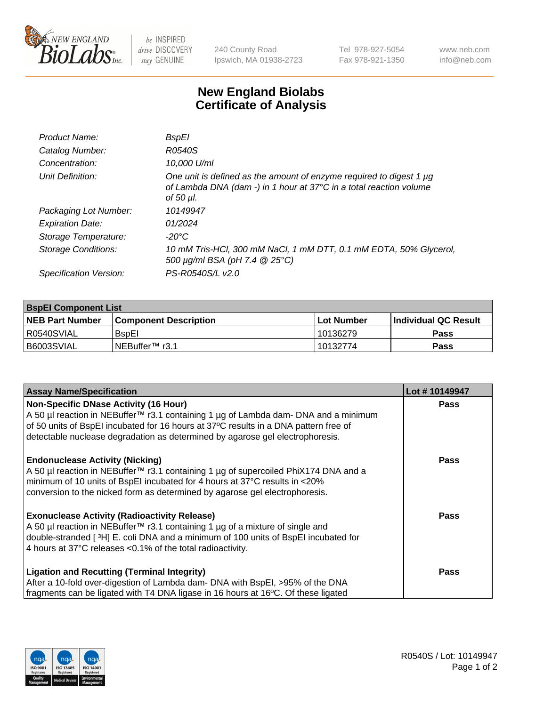

be INSPIRED drive DISCOVERY stay GENUINE

240 County Road Ipswich, MA 01938-2723 Tel 978-927-5054 Fax 978-921-1350 www.neb.com info@neb.com

## **New England Biolabs Certificate of Analysis**

| Product Name:              | BspEl                                                                                                                                                  |
|----------------------------|--------------------------------------------------------------------------------------------------------------------------------------------------------|
| Catalog Number:            | R0540S                                                                                                                                                 |
| Concentration:             | 10,000 U/ml                                                                                                                                            |
| Unit Definition:           | One unit is defined as the amount of enzyme required to digest 1 µg<br>of Lambda DNA (dam -) in 1 hour at 37°C in a total reaction volume<br>of 50 µl. |
| Packaging Lot Number:      | 10149947                                                                                                                                               |
| <b>Expiration Date:</b>    | 01/2024                                                                                                                                                |
| Storage Temperature:       | $-20^{\circ}$ C                                                                                                                                        |
| <b>Storage Conditions:</b> | 10 mM Tris-HCl, 300 mM NaCl, 1 mM DTT, 0.1 mM EDTA, 50% Glycerol,<br>500 μg/ml BSA (pH 7.4 @ 25°C)                                                     |
| Specification Version:     | PS-R0540S/L v2.0                                                                                                                                       |
|                            |                                                                                                                                                        |

| <b>BspEl Component List</b> |                              |            |                       |  |  |
|-----------------------------|------------------------------|------------|-----------------------|--|--|
| <b>NEB Part Number</b>      | <b>Component Description</b> | Lot Number | ∣Individual QC Result |  |  |
| R0540SVIAL                  | <b>B</b> spEl                | 10136279   | <b>Pass</b>           |  |  |
| B6003SVIAL                  | INEBuffer™ r3.1              | 10132774   | <b>Pass</b>           |  |  |

| <b>Assay Name/Specification</b>                                                      | Lot #10149947 |
|--------------------------------------------------------------------------------------|---------------|
| <b>Non-Specific DNase Activity (16 Hour)</b>                                         | <b>Pass</b>   |
| A 50 µl reaction in NEBuffer™ r3.1 containing 1 µg of Lambda dam- DNA and a minimum  |               |
| of 50 units of BspEI incubated for 16 hours at 37°C results in a DNA pattern free of |               |
| detectable nuclease degradation as determined by agarose gel electrophoresis.        |               |
| <b>Endonuclease Activity (Nicking)</b>                                               | <b>Pass</b>   |
| A 50 µl reaction in NEBuffer™ r3.1 containing 1 µg of supercoiled PhiX174 DNA and a  |               |
| minimum of 10 units of BspEI incubated for 4 hours at 37°C results in <20%           |               |
| conversion to the nicked form as determined by agarose gel electrophoresis.          |               |
| <b>Exonuclease Activity (Radioactivity Release)</b>                                  | Pass          |
| A 50 µl reaction in NEBuffer™ r3.1 containing 1 µg of a mixture of single and        |               |
| double-stranded [3H] E. coli DNA and a minimum of 100 units of BspEI incubated for   |               |
| 4 hours at 37°C releases <0.1% of the total radioactivity.                           |               |
| <b>Ligation and Recutting (Terminal Integrity)</b>                                   | <b>Pass</b>   |
| After a 10-fold over-digestion of Lambda dam- DNA with BspEI, >95% of the DNA        |               |
| fragments can be ligated with T4 DNA ligase in 16 hours at 16°C. Of these ligated    |               |